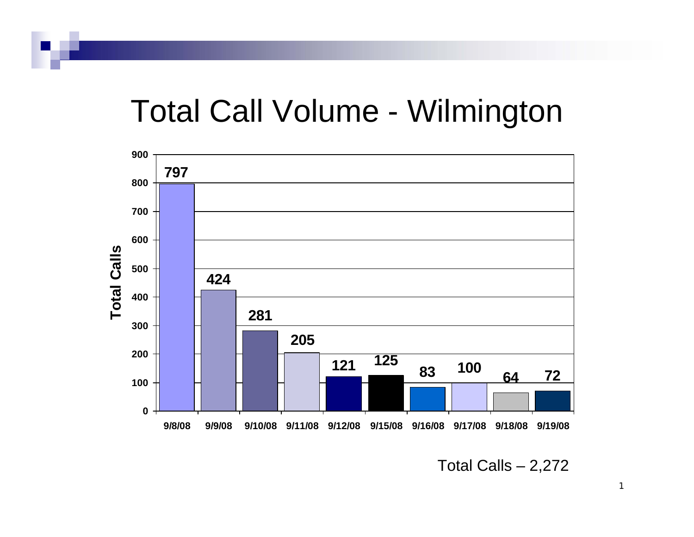## Total Call Volume - Wilmington



Total Calls – 2,272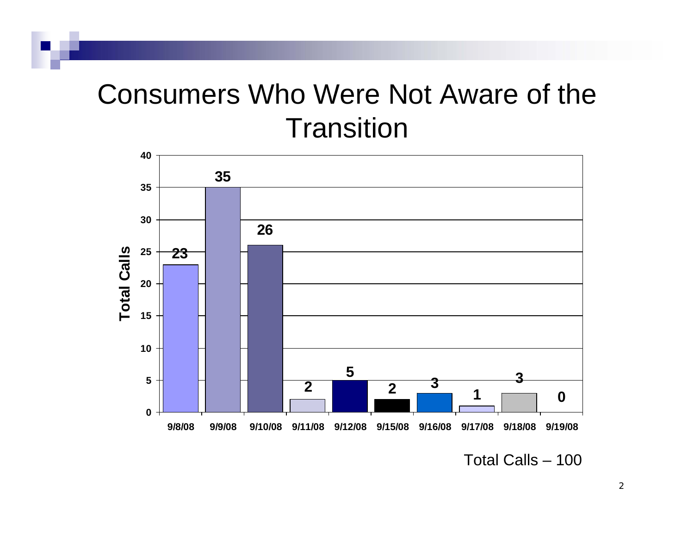### Consumers Who Were Not Aware of the **Transition**



Total Calls – 100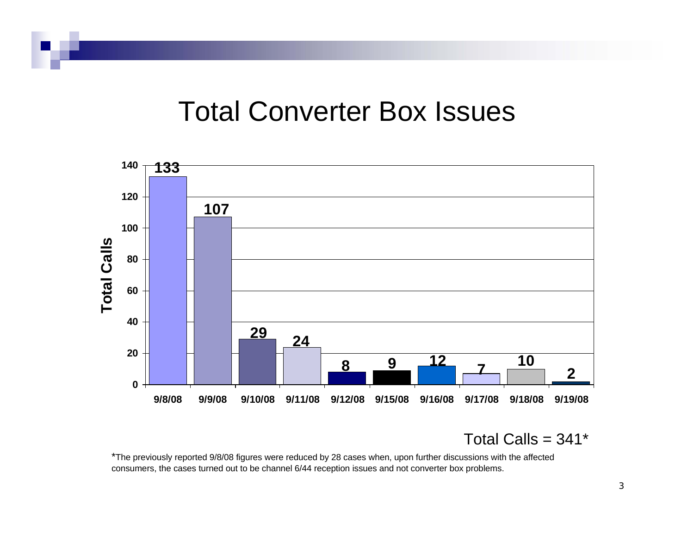#### Total Converter Box Issues



Total Calls =  $341*$ 

\*The previously reported 9/8/08 figures were reduced by 28 cases when, upon further discussions with the affected consumers, the cases turned out to be channel 6/44 reception issues and not converter box problems.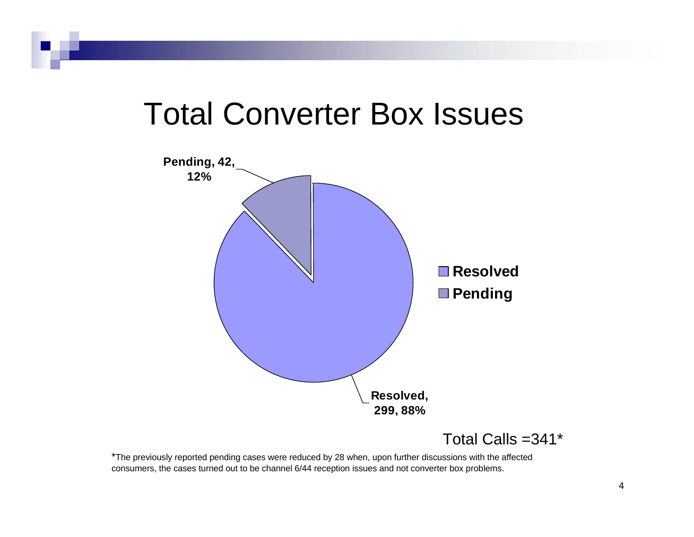## Total Converter Box Issues



Total Calls =341\*

\*The previously reported pending cases were reduced by 28 when, upon further discussions with the affected consumers, the cases turned out to be channel 6/44 reception issues and not converter box problems.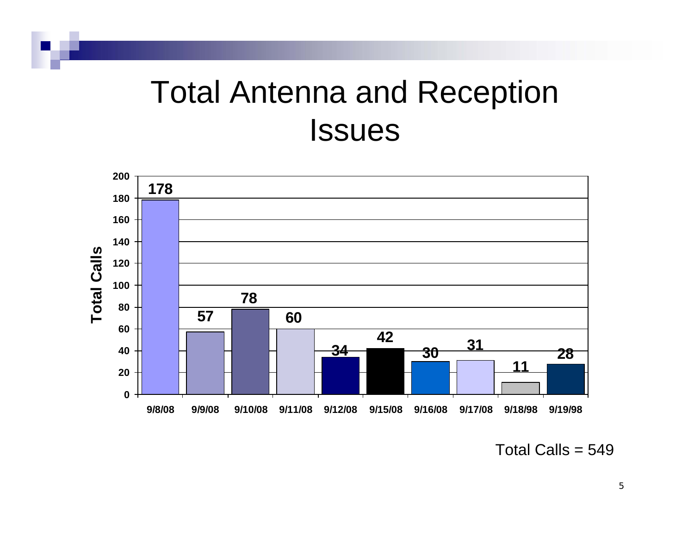# Total Antenna and Reception **Issues**



Total Calls  $= 549$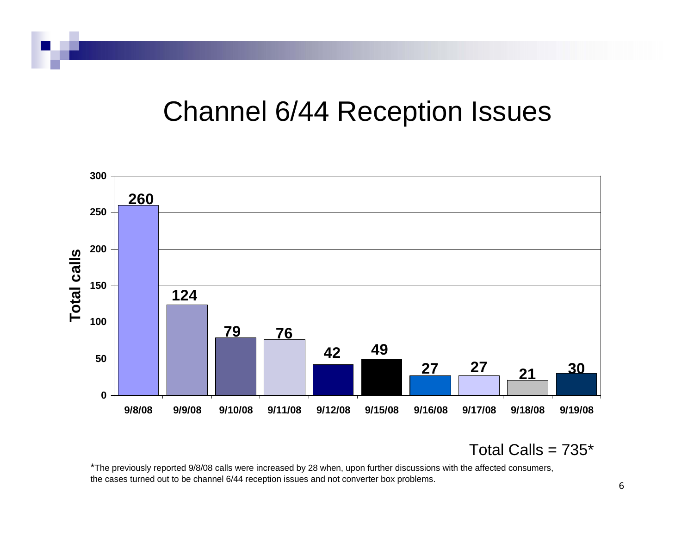#### Channel 6/44 Reception Issues



Total Calls =  $735*$ 

\*The previously reported 9/8/08 calls were increased by 28 when, upon further discussions with the affected consumers, the cases turned out to be channel 6/44 reception issues and not converter box problems.